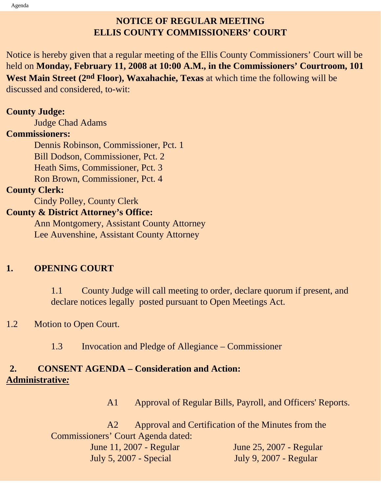# **NOTICE OF REGULAR MEETING ELLIS COUNTY COMMISSIONERS' COURT**

Notice is hereby given that a regular meeting of the Ellis County Commissioners' Court will be held on **Monday, February 11, 2008 at 10:00 A.M., in the Commissioners' Courtroom, 101 West Main Street (2nd Floor), Waxahachie, Texas** at which time the following will be discussed and considered, to-wit:

#### **County Judge:**

Judge Chad Adams

#### **Commissioners:**

 Dennis Robinson, Commissioner, Pct. 1 Bill Dodson, Commissioner, Pct. 2 Heath Sims, Commissioner, Pct. 3 Ron Brown, Commissioner, Pct. 4

#### **County Clerk:**

Cindy Polley, County Clerk

### **County & District Attorney's Office:**

 Ann Montgomery, Assistant County Attorney Lee Auvenshine, Assistant County Attorney

### **1. OPENING COURT**

1.1 County Judge will call meeting to order, declare quorum if present, and declare notices legally posted pursuant to Open Meetings Act.

### 1.2 Motion to Open Court.

1.3 Invocation and Pledge of Allegiance – Commissioner

# **2. CONSENT AGENDA – Consideration and Action: Administrative***:*

A1 Approval of Regular Bills, Payroll, and Officers' Reports.

 A2 Approval and Certification of the Minutes from the Commissioners' Court Agenda dated: June 11, 2007 - Regular June 25, 2007 - Regular July 5, 2007 - Special July 9, 2007 - Regular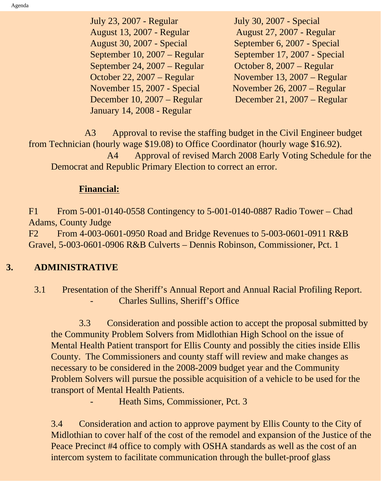July 23, 2007 - Regular July 30, 2007 - Special August 13, 2007 - Regular August 27, 2007 - Regular August 30, 2007 - Special September 6, 2007 - Special September 10, 2007 – Regular September 17, 2007 - Special September 24, 2007 – Regular October 8, 2007 – Regular October 22, 2007 – Regular November 13, 2007 – Regular November 15, 2007 - Special November 26, 2007 – Regular December 10, 2007 – Regular December 21, 2007 – Regular January 14, 2008 - Regular

 A3 Approval to revise the staffing budget in the Civil Engineer budget from Technician (hourly wage \$19.08) to Office Coordinator (hourly wage \$16.92). A4 Approval of revised March 2008 Early Voting Schedule for the Democrat and Republic Primary Election to correct an error.

# **Financial:**

F1 From 5-001-0140-0558 Contingency to 5-001-0140-0887 Radio Tower – Chad Adams, County Judge

F2 From 4-003-0601-0950 Road and Bridge Revenues to 5-003-0601-0911 R&B Gravel, 5-003-0601-0906 R&B Culverts – Dennis Robinson, Commissioner, Pct. 1

# **3. ADMINISTRATIVE**

# 3.1 Presentation of the Sheriff's Annual Report and Annual Racial Profiling Report. Charles Sullins, Sheriff's Office

 3.3 Consideration and possible action to accept the proposal submitted by the Community Problem Solvers from Midlothian High School on the issue of Mental Health Patient transport for Ellis County and possibly the cities inside Ellis County. The Commissioners and county staff will review and make changes as necessary to be considered in the 2008-2009 budget year and the Community Problem Solvers will pursue the possible acquisition of a vehicle to be used for the transport of Mental Health Patients.

Heath Sims, Commissioner, Pct. 3

3.4 Consideration and action to approve payment by Ellis County to the City of Midlothian to cover half of the cost of the remodel and expansion of the Justice of the Peace Precinct #4 office to comply with OSHA standards as well as the cost of an intercom system to facilitate communication through the bullet-proof glass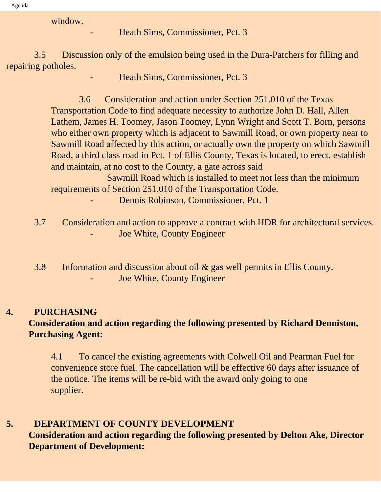window.

Heath Sims, Commissioner, Pct. 3

 3.5 Discussion only of the emulsion being used in the Dura-Patchers for filling and repairing potholes.

- Heath Sims, Commissioner, Pct. 3

 3.6 Consideration and action under Section 251.010 of the Texas Transportation Code to find adequate necessity to authorize John D. Hall, Allen Lathem, James H. Toomey, Jason Toomey, Lynn Wright and Scott T. Born, persons who either own property which is adjacent to Sawmill Road, or own property near to Sawmill Road affected by this action, or actually own the property on which Sawmill Road, a third class road in Pct. 1 of Ellis County, Texas is located, to erect, establish and maintain, at no cost to the County, a gate across said

 Sawmill Road which is installed to meet not less than the minimum requirements of Section 251.010 of the Transportation Code.

Dennis Robinson, Commissioner, Pct. 1

- 3.7 Consideration and action to approve a contract with HDR for architectural services. Joe White, County Engineer
- 3.8 Information and discussion about oil & gas well permits in Ellis County. Joe White, County Engineer

#### **4. PURCHASING**

# **Consideration and action regarding the following presented by Richard Denniston, Purchasing Agent:**

4.1 To cancel the existing agreements with Colwell Oil and Pearman Fuel for convenience store fuel. The cancellation will be effective 60 days after issuance of the notice. The items will be re-bid with the award only going to one supplier.

#### **5. DEPARTMENT OF COUNTY DEVELOPMENT**

**Consideration and action regarding the following presented by Delton Ake, Director Department of Development:**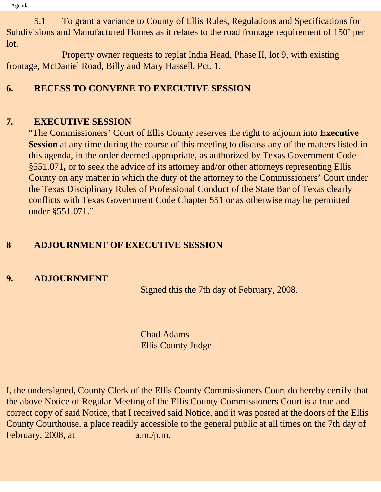5.1 To grant a variance to County of Ellis Rules, Regulations and Specifications for Subdivisions and Manufactured Homes as it relates to the road frontage requirement of 150' per lot.

 Property owner requests to replat India Head, Phase II, lot 9, with existing frontage, McDaniel Road, Billy and Mary Hassell, Pct. 1.

# **6. RECESS TO CONVENE TO EXECUTIVE SESSION**

# **7. EXECUTIVE SESSION**

"The Commissioners' Court of Ellis County reserves the right to adjourn into **Executive Session** at any time during the course of this meeting to discuss any of the matters listed in this agenda, in the order deemed appropriate, as authorized by Texas Government Code §551.071**,** or to seek the advice of its attorney and/or other attorneys representing Ellis County on any matter in which the duty of the attorney to the Commissioners' Court under the Texas Disciplinary Rules of Professional Conduct of the State Bar of Texas clearly conflicts with Texas Government Code Chapter 551 or as otherwise may be permitted under §551.071."

# **8 ADJOURNMENT OF EXECUTIVE SESSION**

### **9. ADJOURNMENT**

Signed this the 7th day of February, 2008.

 $\overline{\phantom{a}}$  , and the set of the set of the set of the set of the set of the set of the set of the set of the set of the set of the set of the set of the set of the set of the set of the set of the set of the set of the s

Chad Adams Ellis County Judge

I, the undersigned, County Clerk of the Ellis County Commissioners Court do hereby certify that the above Notice of Regular Meeting of the Ellis County Commissioners Court is a true and correct copy of said Notice, that I received said Notice, and it was posted at the doors of the Ellis County Courthouse, a place readily accessible to the general public at all times on the 7th day of February, 2008, at \_\_\_\_\_\_\_\_\_\_\_\_ a.m./p.m.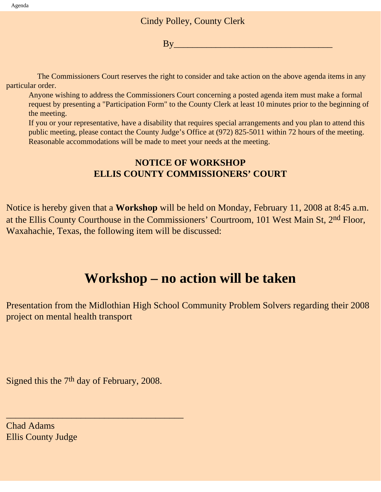#### Cindy Polley, County Clerk

 $\mathbf{B} \mathbf{v}$  and  $\mathbf{v}$  and  $\mathbf{v}$  and  $\mathbf{v}$ 

 The Commissioners Court reserves the right to consider and take action on the above agenda items in any particular order.

Anyone wishing to address the Commissioners Court concerning a posted agenda item must make a formal request by presenting a "Participation Form" to the County Clerk at least 10 minutes prior to the beginning of the meeting.

If you or your representative, have a disability that requires special arrangements and you plan to attend this public meeting, please contact the County Judge's Office at (972) 825-5011 within 72 hours of the meeting. Reasonable accommodations will be made to meet your needs at the meeting.

### **NOTICE OF WORKSHOP ELLIS COUNTY COMMISSIONERS' COURT**

Notice is hereby given that a **Workshop** will be held on Monday, February 11, 2008 at 8:45 a.m. at the Ellis County Courthouse in the Commissioners' Courtroom, 101 West Main St, 2<sup>nd</sup> Floor, Waxahachie, Texas, the following item will be discussed:

# **Workshop – no action will be taken**

Presentation from the Midlothian High School Community Problem Solvers regarding their 2008 project on mental health transport

Signed this the 7<sup>th</sup> day of February, 2008.

\_\_\_\_\_\_\_\_\_\_\_\_\_\_\_\_\_\_\_\_\_\_\_\_\_\_\_\_\_\_\_\_\_\_\_\_\_\_

Chad Adams Ellis County Judge